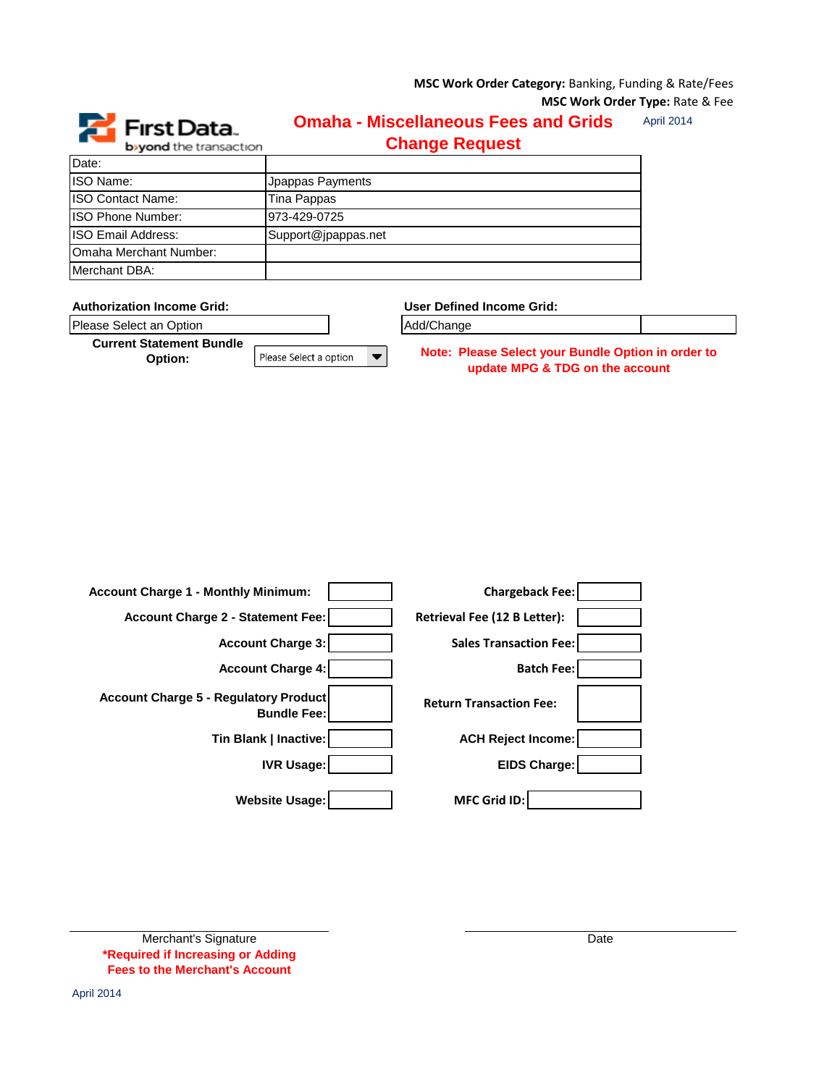**MSC Work Order Category:** Banking, Funding & Rate/Fees **MSC Work Order Type:** Rate & Fee



## April 2014 **Omaha - Miscellaneous Fees and Grids Change Request**

| Date:                     |                     |
|---------------------------|---------------------|
| ISO Name:                 | Jpappas Payments    |
| <b>ISO Contact Name:</b>  | Tina Pappas         |
| ISO Phone Number:         | 973-429-0725        |
| <b>ISO Email Address:</b> | Support@jpappas.net |
| Omaha Merchant Number:    |                     |
| Merchant DBA:             |                     |

| <b>Authorization Income Grid:</b>          |                        | User Defined Income Grid:                                                             |  |
|--------------------------------------------|------------------------|---------------------------------------------------------------------------------------|--|
| Please Select an Option                    |                        | Add/Change                                                                            |  |
| <b>Current Statement Bundle</b><br>Option: | Please Select a option | Note: Please Select your Bundle Option in order to<br>update MPG & TDG on the account |  |
|                                            |                        |                                                                                       |  |

| <b>Account Charge 1 - Monthly Minimum:</b>                         | <b>Chargeback Fee:</b>         |
|--------------------------------------------------------------------|--------------------------------|
| Account Charge 2 - Statement Fee:                                  | Retrieval Fee (12 B Letter):   |
| <b>Account Charge 3:</b>                                           | <b>Sales Transaction Fee:</b>  |
| <b>Account Charge 4:</b>                                           | <b>Batch Fee:</b>              |
| <b>Account Charge 5 - Regulatory Product</b><br><b>Bundle Fee:</b> | <b>Return Transaction Fee:</b> |
| Tin Blank   Inactive:                                              | <b>ACH Reject Income:</b>      |
| <b>IVR Usage:</b>                                                  | <b>EIDS Charge:</b>            |
| <b>Website Usage:</b>                                              | <b>MFC Grid ID:</b>            |

| Merchant's Signature                  |
|---------------------------------------|
| *Required if Increasing or Adding     |
| <b>Fees to the Merchant's Account</b> |

**Date**